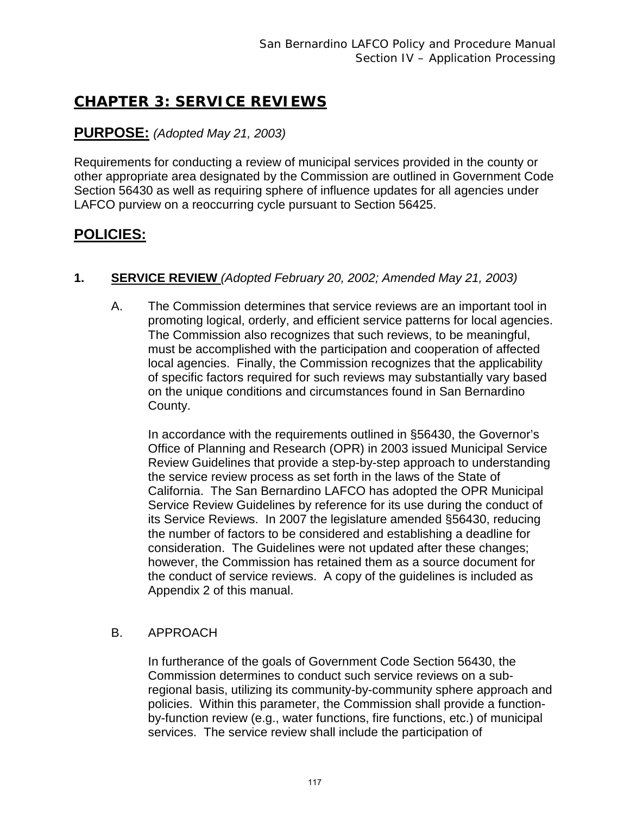# **CHAPTER 3: SERVICE REVIEWS**

### **PURPOSE:** *(Adopted May 21, 2003)*

Requirements for conducting a review of municipal services provided in the county or other appropriate area designated by the Commission are outlined in Government Code Section 56430 as well as requiring sphere of influence updates for all agencies under LAFCO purview on a reoccurring cycle pursuant to Section 56425.

## **POLICIES:**

### **1. SERVICE REVIEW** *(Adopted February 20, 2002; Amended May 21, 2003)*

A. The Commission determines that service reviews are an important tool in promoting logical, orderly, and efficient service patterns for local agencies. The Commission also recognizes that such reviews, to be meaningful, must be accomplished with the participation and cooperation of affected local agencies. Finally, the Commission recognizes that the applicability of specific factors required for such reviews may substantially vary based on the unique conditions and circumstances found in San Bernardino County.

In accordance with the requirements outlined in §56430, the Governor's Office of Planning and Research (OPR) in 2003 issued Municipal Service Review Guidelines that provide a step-by-step approach to understanding the service review process as set forth in the laws of the State of California. The San Bernardino LAFCO has adopted the OPR Municipal Service Review Guidelines by reference for its use during the conduct of its Service Reviews. In 2007 the legislature amended §56430, reducing the number of factors to be considered and establishing a deadline for consideration. The Guidelines were not updated after these changes; however, the Commission has retained them as a source document for the conduct of service reviews. A copy of the guidelines is included as Appendix 2 of this manual.

#### B. APPROACH

In furtherance of the goals of Government Code Section 56430, the Commission determines to conduct such service reviews on a subregional basis, utilizing its community-by-community sphere approach and policies. Within this parameter, the Commission shall provide a functionby-function review (e.g., water functions, fire functions, etc.) of municipal services. The service review shall include the participation of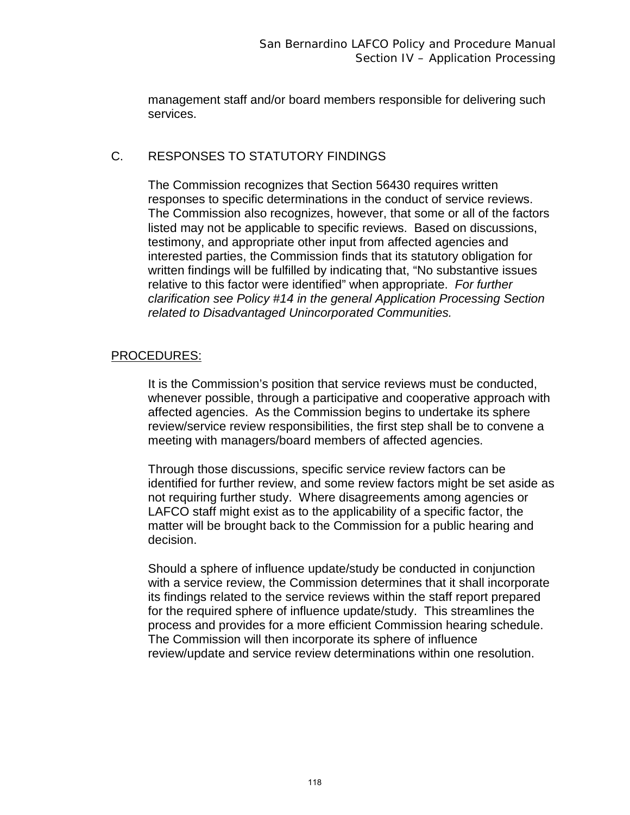management staff and/or board members responsible for delivering such services.

#### C. RESPONSES TO STATUTORY FINDINGS

The Commission recognizes that Section 56430 requires written responses to specific determinations in the conduct of service reviews. The Commission also recognizes, however, that some or all of the factors listed may not be applicable to specific reviews. Based on discussions, testimony, and appropriate other input from affected agencies and interested parties, the Commission finds that its statutory obligation for written findings will be fulfilled by indicating that, "No substantive issues relative to this factor were identified" when appropriate. *For further clarification see Policy #14 in the general Application Processing Section related to Disadvantaged Unincorporated Communities.*

#### PROCEDURES:

It is the Commission's position that service reviews must be conducted, whenever possible, through a participative and cooperative approach with affected agencies. As the Commission begins to undertake its sphere review/service review responsibilities, the first step shall be to convene a meeting with managers/board members of affected agencies.

Through those discussions, specific service review factors can be identified for further review, and some review factors might be set aside as not requiring further study. Where disagreements among agencies or LAFCO staff might exist as to the applicability of a specific factor, the matter will be brought back to the Commission for a public hearing and decision.

Should a sphere of influence update/study be conducted in conjunction with a service review, the Commission determines that it shall incorporate its findings related to the service reviews within the staff report prepared for the required sphere of influence update/study. This streamlines the process and provides for a more efficient Commission hearing schedule. The Commission will then incorporate its sphere of influence review/update and service review determinations within one resolution.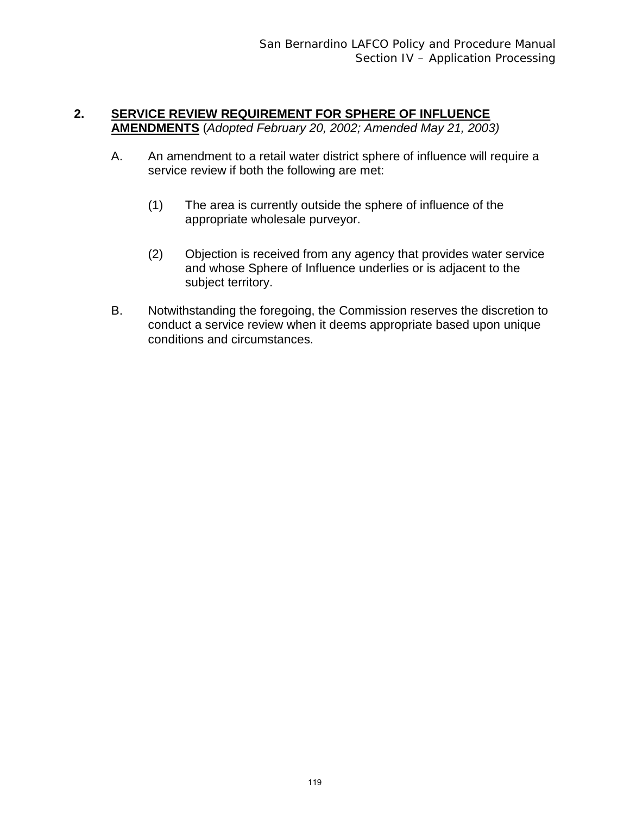#### **2. SERVICE REVIEW REQUIREMENT FOR SPHERE OF INFLUENCE AMENDMENTS** (*Adopted February 20, 2002; Amended May 21, 2003)*

- A. An amendment to a retail water district sphere of influence will require a service review if both the following are met:
	- (1) The area is currently outside the sphere of influence of the appropriate wholesale purveyor.
	- (2) Objection is received from any agency that provides water service and whose Sphere of Influence underlies or is adjacent to the subject territory.
- B. Notwithstanding the foregoing, the Commission reserves the discretion to conduct a service review when it deems appropriate based upon unique conditions and circumstances.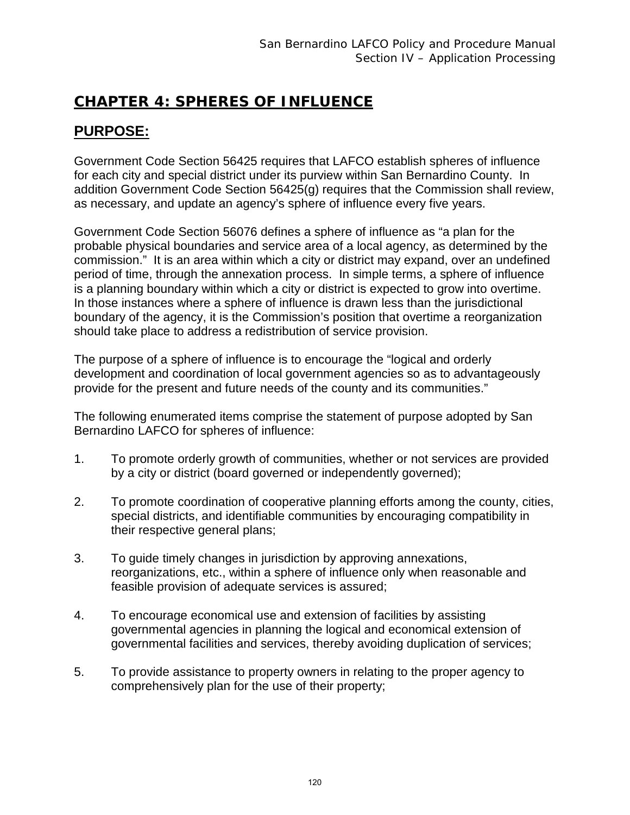# **CHAPTER 4: SPHERES OF INFLUENCE**

# **PURPOSE:**

Government Code Section 56425 requires that LAFCO establish spheres of influence for each city and special district under its purview within San Bernardino County. In addition Government Code Section 56425(g) requires that the Commission shall review, as necessary, and update an agency's sphere of influence every five years.

Government Code Section 56076 defines a sphere of influence as "a plan for the probable physical boundaries and service area of a local agency, as determined by the commission." It is an area within which a city or district may expand, over an undefined period of time, through the annexation process. In simple terms, a sphere of influence is a planning boundary within which a city or district is expected to grow into overtime. In those instances where a sphere of influence is drawn less than the jurisdictional boundary of the agency, it is the Commission's position that overtime a reorganization should take place to address a redistribution of service provision.

The purpose of a sphere of influence is to encourage the "logical and orderly development and coordination of local government agencies so as to advantageously provide for the present and future needs of the county and its communities."

The following enumerated items comprise the statement of purpose adopted by San Bernardino LAFCO for spheres of influence:

- 1. To promote orderly growth of communities, whether or not services are provided by a city or district (board governed or independently governed);
- 2. To promote coordination of cooperative planning efforts among the county, cities, special districts, and identifiable communities by encouraging compatibility in their respective general plans;
- 3. To guide timely changes in jurisdiction by approving annexations, reorganizations, etc., within a sphere of influence only when reasonable and feasible provision of adequate services is assured;
- 4. To encourage economical use and extension of facilities by assisting governmental agencies in planning the logical and economical extension of governmental facilities and services, thereby avoiding duplication of services;
- 5. To provide assistance to property owners in relating to the proper agency to comprehensively plan for the use of their property;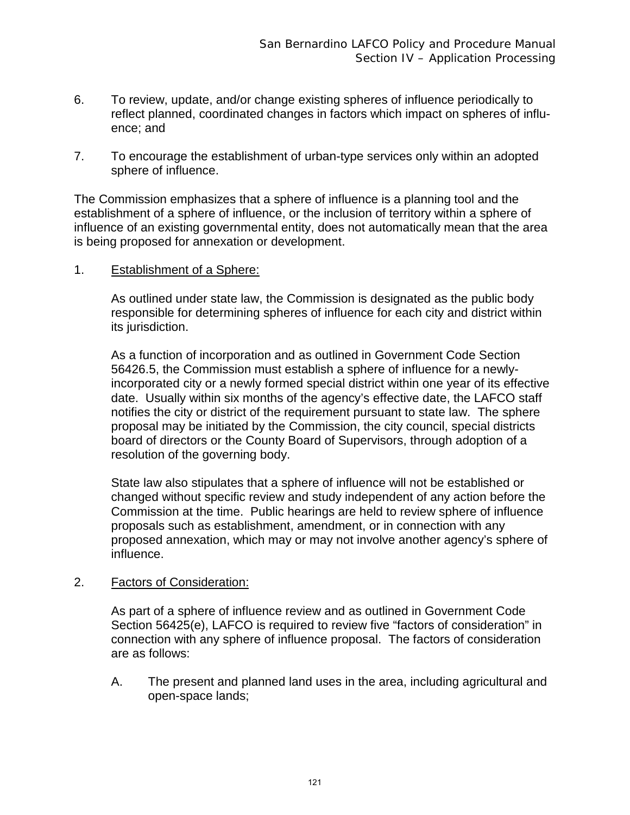- 6. To review, update, and/or change existing spheres of influence periodically to reflect planned, coordinated changes in factors which impact on spheres of influence; and
- 7. To encourage the establishment of urban-type services only within an adopted sphere of influence.

The Commission emphasizes that a sphere of influence is a planning tool and the establishment of a sphere of influence, or the inclusion of territory within a sphere of influence of an existing governmental entity, does not automatically mean that the area is being proposed for annexation or development.

1. Establishment of a Sphere:

As outlined under state law, the Commission is designated as the public body responsible for determining spheres of influence for each city and district within its jurisdiction.

As a function of incorporation and as outlined in Government Code Section 56426.5, the Commission must establish a sphere of influence for a newlyincorporated city or a newly formed special district within one year of its effective date. Usually within six months of the agency's effective date, the LAFCO staff notifies the city or district of the requirement pursuant to state law. The sphere proposal may be initiated by the Commission, the city council, special districts board of directors or the County Board of Supervisors, through adoption of a resolution of the governing body.

State law also stipulates that a sphere of influence will not be established or changed without specific review and study independent of any action before the Commission at the time. Public hearings are held to review sphere of influence proposals such as establishment, amendment, or in connection with any proposed annexation, which may or may not involve another agency's sphere of influence.

#### 2. Factors of Consideration:

As part of a sphere of influence review and as outlined in Government Code Section 56425(e), LAFCO is required to review five "factors of consideration" in connection with any sphere of influence proposal. The factors of consideration are as follows:

A. The present and planned land uses in the area, including agricultural and open-space lands;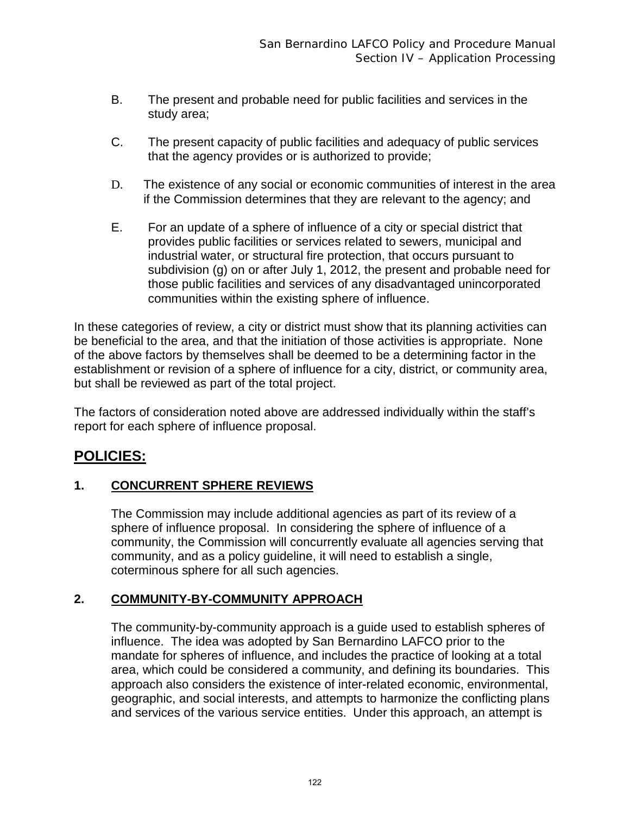- B. The present and probable need for public facilities and services in the study area;
- C. The present capacity of public facilities and adequacy of public services that the agency provides or is authorized to provide;
- D. The existence of any social or economic communities of interest in the area if the Commission determines that they are relevant to the agency; and
- E. For an update of a sphere of influence of a city or special district that provides public facilities or services related to sewers, municipal and industrial water, or structural fire protection, that occurs pursuant to subdivision (g) on or after July 1, 2012, the present and probable need for those public facilities and services of any disadvantaged unincorporated communities within the existing sphere of influence.

In these categories of review, a city or district must show that its planning activities can be beneficial to the area, and that the initiation of those activities is appropriate. None of the above factors by themselves shall be deemed to be a determining factor in the establishment or revision of a sphere of influence for a city, district, or community area, but shall be reviewed as part of the total project.

The factors of consideration noted above are addressed individually within the staff's report for each sphere of influence proposal.

## **POLICIES:**

### **1. CONCURRENT SPHERE REVIEWS**

The Commission may include additional agencies as part of its review of a sphere of influence proposal. In considering the sphere of influence of a community, the Commission will concurrently evaluate all agencies serving that community, and as a policy guideline, it will need to establish a single, coterminous sphere for all such agencies.

### **2. COMMUNITY-BY-COMMUNITY APPROACH**

The community-by-community approach is a guide used to establish spheres of influence. The idea was adopted by San Bernardino LAFCO prior to the mandate for spheres of influence, and includes the practice of looking at a total area, which could be considered a community, and defining its boundaries. This approach also considers the existence of inter-related economic, environmental, geographic, and social interests, and attempts to harmonize the conflicting plans and services of the various service entities. Under this approach, an attempt is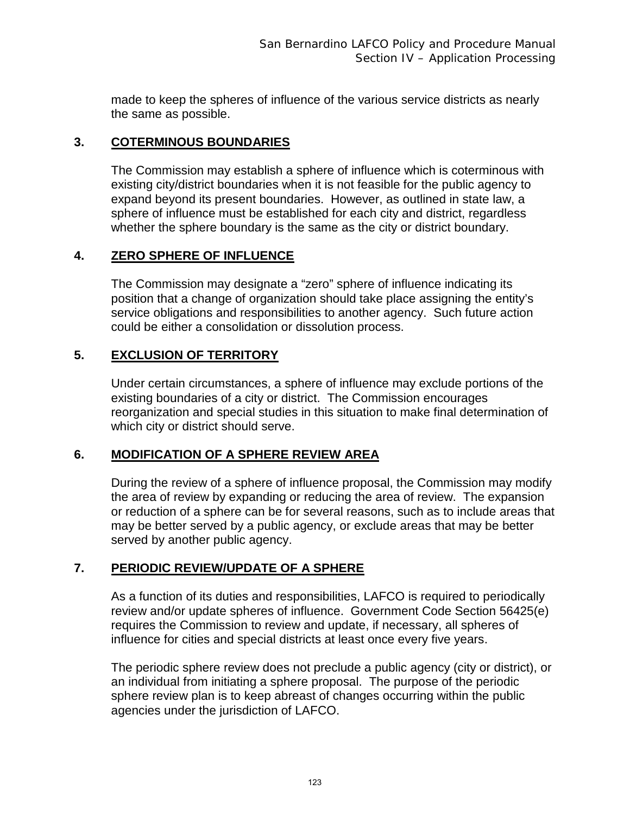made to keep the spheres of influence of the various service districts as nearly the same as possible.

#### **3. COTERMINOUS BOUNDARIES**

The Commission may establish a sphere of influence which is coterminous with existing city/district boundaries when it is not feasible for the public agency to expand beyond its present boundaries. However, as outlined in state law, a sphere of influence must be established for each city and district, regardless whether the sphere boundary is the same as the city or district boundary.

#### **4. ZERO SPHERE OF INFLUENCE**

The Commission may designate a "zero" sphere of influence indicating its position that a change of organization should take place assigning the entity's service obligations and responsibilities to another agency. Such future action could be either a consolidation or dissolution process.

### **5. EXCLUSION OF TERRITORY**

Under certain circumstances, a sphere of influence may exclude portions of the existing boundaries of a city or district. The Commission encourages reorganization and special studies in this situation to make final determination of which city or district should serve.

### **6. MODIFICATION OF A SPHERE REVIEW AREA**

During the review of a sphere of influence proposal, the Commission may modify the area of review by expanding or reducing the area of review. The expansion or reduction of a sphere can be for several reasons, such as to include areas that may be better served by a public agency, or exclude areas that may be better served by another public agency.

### **7. PERIODIC REVIEW/UPDATE OF A SPHERE**

As a function of its duties and responsibilities, LAFCO is required to periodically review and/or update spheres of influence. Government Code Section 56425(e) requires the Commission to review and update, if necessary, all spheres of influence for cities and special districts at least once every five years.

The periodic sphere review does not preclude a public agency (city or district), or an individual from initiating a sphere proposal. The purpose of the periodic sphere review plan is to keep abreast of changes occurring within the public agencies under the jurisdiction of LAFCO.